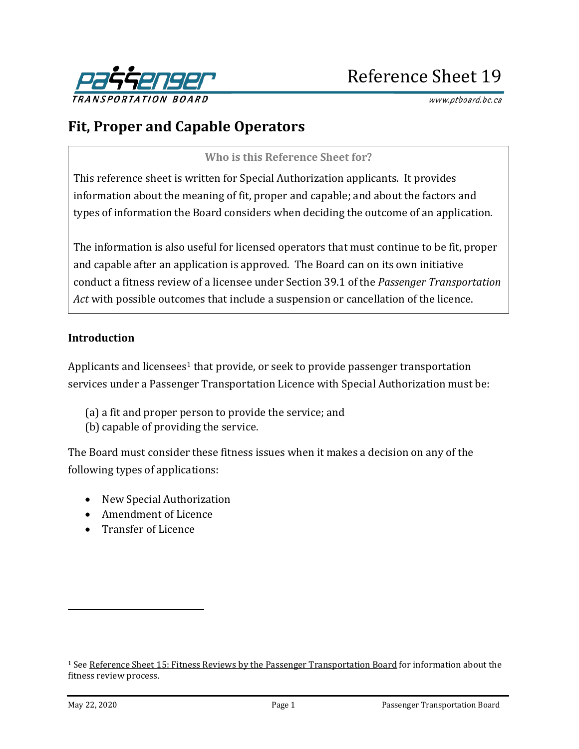

www.ptboard.bc.ca

# **Fit, Proper and Capable Operators**

**Who is this Reference Sheet for?**

This reference sheet is written for Special Authorization applicants. It provides information about the meaning of fit, proper and capable; and about the factors and types of information the Board considers when deciding the outcome of an application.

The information is also useful for licensed operators that must continue to be fit, proper and capable after an application is approved. The Board can on its own initiative conduct a fitness review of a licensee under Section 39.1 of the *Passenger Transportation Act* with possible outcomes that include a suspension or cancellation of the licence.

#### **Introduction**

Applicants and licensees<sup>[1](#page-0-0)</sup> that provide, or seek to provide passenger transportation services under a Passenger Transportation Licence with Special Authorization must be:

- (a) a fit and proper person to provide the service; and
- (b) capable of providing the service.

The Board must consider these fitness issues when it makes a decision on any of the following types of applications:

- New Special Authorization
- Amendment of Licence
- Transfer of Licence

<span id="page-0-0"></span><sup>&</sup>lt;sup>1</sup> Se[e Reference Sheet 15: Fitness Reviews by the Passenger Transportation Board](https://www.th.gov.bc.ca/forms/getForm.aspx?formId=1207) for information about the fitness review process.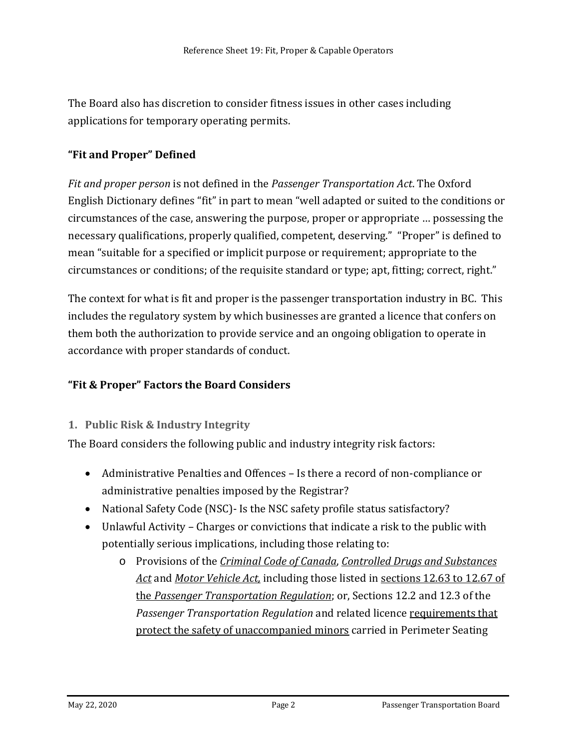The Board also has discretion to consider fitness issues in other cases including applications for temporary operating permits.

# **"Fit and Proper" Defined**

*Fit and proper person* is not defined in the *Passenger Transportation Act*. The Oxford English Dictionary defines "fit" in part to mean "well adapted or suited to the conditions or circumstances of the case, answering the purpose, proper or appropriate … possessing the necessary qualifications, properly qualified, competent, deserving." "Proper" is defined to mean "suitable for a specified or implicit purpose or requirement; appropriate to the circumstances or conditions; of the requisite standard or type; apt, fitting; correct, right."

The context for what is fit and proper is the passenger transportation industry in BC. This includes the regulatory system by which businesses are granted a licence that confers on them both the authorization to provide service and an ongoing obligation to operate in accordance with proper standards of conduct.

# **"Fit & Proper" Factors the Board Considers**

## **1. Public Risk & Industry Integrity**

The Board considers the following public and industry integrity risk factors:

- Administrative Penalties and Offences Is there a record of non-compliance or administrative penalties imposed by the Registrar?
- National Safety Code (NSC)- Is the NSC safety profile status satisfactory?
- Unlawful Activity Charges or convictions that indicate a risk to the public with potentially serious implications, including those relating to:
	- o Provisions of the *[Criminal Code of Canada](https://laws-lois.justice.gc.ca/eng/acts/c-46/FullText.html)*, *[Controlled Drugs and Substances](https://laws-lois.justice.gc.ca/eng/acts/c-38.8/FullText.html)  [Act](https://laws-lois.justice.gc.ca/eng/acts/c-38.8/FullText.html)* and *[Motor Vehicle Act,](http://www.bclaws.ca/civix/content/complete/statreg/1325524918/96318/1768009857/?xsl=/templates/browse.xsl)* including those listed in [sections 12.63 to 12.67 of](http://www.bclaws.ca/EPLibraries/bclaws_new/document/ID/freeside/266_2004#section12.63)  the *[Passenger Transportation Regulation](http://www.bclaws.ca/EPLibraries/bclaws_new/document/ID/freeside/266_2004#section12.63)*; or, Sections 12.2 and 12.3 of the *Passenger Transportation Regulation* and related licence [requirements](https://www.ptboard.bc.ca/limo-safety.htm) that [protect the safety of unaccompanied minors](https://www.ptboard.bc.ca/limo-safety.htm) carried in Perimeter Seating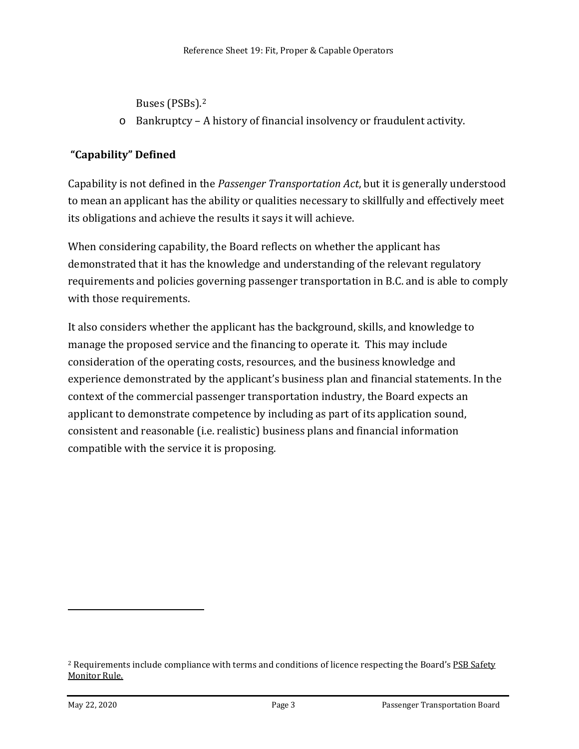Buses (PSBs).[2](#page-2-0)

o Bankruptcy – A history of financial insolvency or fraudulent activity.

# **"Capability" Defined**

Capability is not defined in the *Passenger Transportation Act*, but it is generally understood to mean an applicant has the ability or qualities necessary to skillfully and effectively meet its obligations and achieve the results it says it will achieve.

When considering capability, the Board reflects on whether the applicant has demonstrated that it has the knowledge and understanding of the relevant regulatory requirements and policies governing passenger transportation in B.C. and is able to comply with those requirements.

It also considers whether the applicant has the background, skills, and knowledge to manage the proposed service and the financing to operate it. This may include consideration of the operating costs, resources, and the business knowledge and experience demonstrated by the applicant's business plan and financial statements. In the context of the commercial passenger transportation industry, the Board expects an applicant to demonstrate competence by including as part of its application sound, consistent and reasonable (i.e. realistic) business plans and financial information compatible with the service it is proposing.

<span id="page-2-0"></span><sup>&</sup>lt;sup>2</sup> Requirements include compliance with terms and conditions of licence respecting the Board's PSB Safety [Monitor Rule.](https://www.ptboard.bc.ca/documents/rule_psb-safety-monitor.pdf)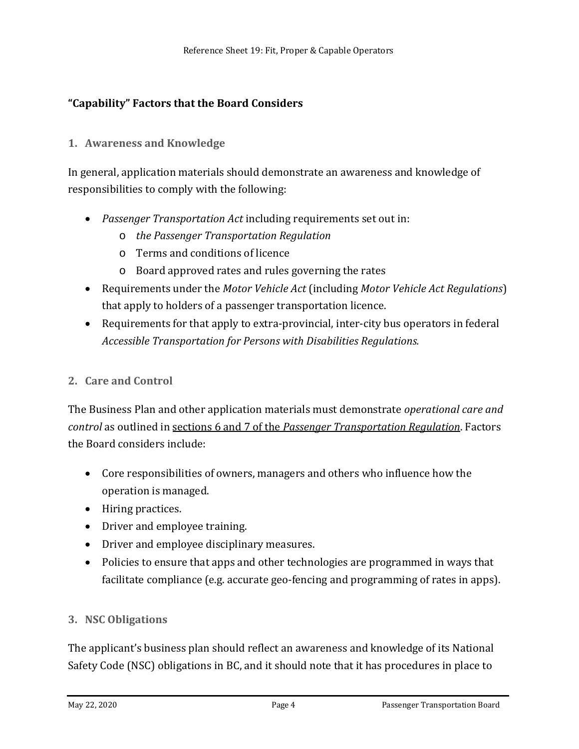# **"Capability" Factors that the Board Considers**

## **1. Awareness and Knowledge**

In general, application materials should demonstrate an awareness and knowledge of responsibilities to comply with the following:

- *Passenger Transportation Act* including requirements set out in:
	- o *the Passenger Transportation Regulation*
	- o Terms and conditions of licence
	- o Board approved rates and rules governing the rates
- Requirements under the *Motor Vehicle Act* (including *Motor Vehicle Act Regulations*) that apply to holders of a passenger transportation licence.
- Requirements for that apply to extra-provincial, inter-city bus operators in federal *Accessible Transportation for Persons with Disabilities Regulations.*

#### **2. Care and Control**

The Business Plan and other application materials must demonstrate *operational care and control* as outlined in sections 6 and 7 of the *[Passenger Transportation Regulation](http://www.bclaws.ca/EPLibraries/bclaws_new/document/ID/freeside/266_2004#section6)*. Factors the Board considers include:

- Core responsibilities of owners, managers and others who influence how the operation is managed.
- Hiring practices.
- Driver and employee training.
- Driver and employee disciplinary measures.
- Policies to ensure that apps and other technologies are programmed in ways that facilitate compliance (e.g. accurate geo-fencing and programming of rates in apps).

#### **3. NSC Obligations**

The applicant's business plan should reflect an awareness and knowledge of its National Safety Code (NSC) obligations in BC, and it should note that it has procedures in place to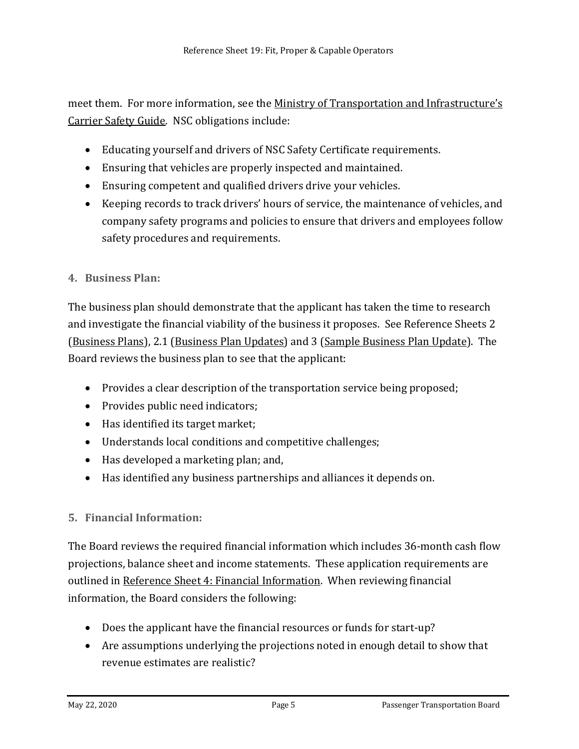meet them. For more information, see the Ministry of Transportation and Infrastructure's [Carrier Safety Guide.](http://www.th.gov.bc.ca/forms/getForm.aspx?formId=1162) NSC obligations include:

- Educating yourself and drivers of NSC Safety Certificate requirements.
- Ensuring that vehicles are properly inspected and maintained.
- Ensuring competent and qualified drivers drive your vehicles.
- Keeping records to track drivers' hours of service, the maintenance of vehicles, and company safety programs and policies to ensure that drivers and employees follow safety procedures and requirements.
- **4. Business Plan:**

The business plan should demonstrate that the applicant has taken the time to research and investigate the financial viability of the business it proposes. See Reference Sheets 2 [\(Business Plans\)](http://www.th.gov.bc.ca/forms/getForm.aspx?formId=1196), 2.1 [\(Business Plan Updates\)](http://www.th.gov.bc.ca/forms/getForm.aspx?formId=1347) and 3 [\(Sample Business Plan Update\)](http://www.th.gov.bc.ca/forms/getForm.aspx?formId=1195). The Board reviews the business plan to see that the applicant:

- Provides a clear description of the transportation service being proposed;
- Provides public need indicators;
- Has identified its target market;
- Understands local conditions and competitive challenges;
- Has developed a marketing plan; and,
- Has identified any business partnerships and alliances it depends on.

# **5. Financial Information:**

The Board reviews the required financial information which includes 36-month cash flow projections, balance sheet and income statements. These application requirements are outlined in [Reference Sheet 4:](http://www.th.gov.bc.ca/forms/getForm.aspx?formId=1194) Financial Information. When reviewing financial information, the Board considers the following:

- Does the applicant have the financial resources or funds for start-up?
- Are assumptions underlying the projections noted in enough detail to show that revenue estimates are realistic?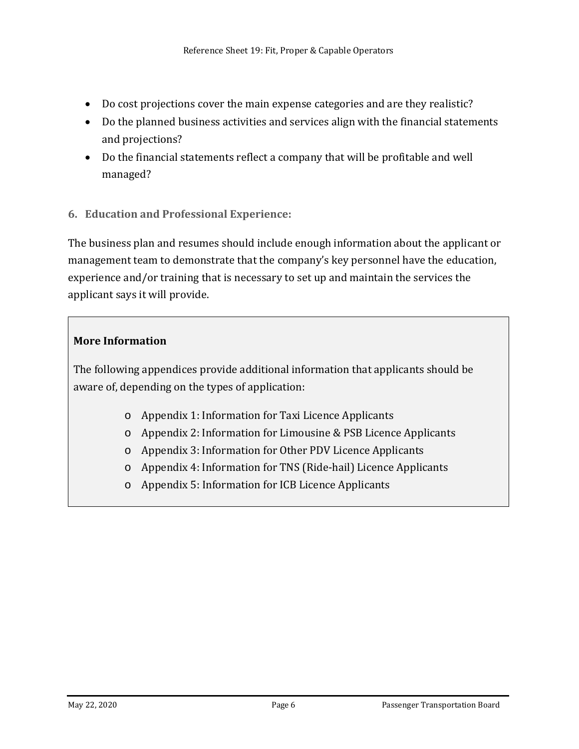- Do cost projections cover the main expense categories and are they realistic?
- Do the planned business activities and services align with the financial statements and projections?
- Do the financial statements reflect a company that will be profitable and well managed?
- **6. Education and Professional Experience:**

The business plan and resumes should include enough information about the applicant or management team to demonstrate that the company's key personnel have the education, experience and/or training that is necessary to set up and maintain the services the applicant says it will provide.

#### **More Information**

The following appendices provide additional information that applicants should be aware of, depending on the types of application:

- o Appendix 1: Information for Taxi Licence Applicants
- o Appendix 2: Information for Limousine & PSB Licence Applicants
- o Appendix 3: Information for Other PDV Licence Applicants
- o Appendix 4: Information for TNS (Ride-hail) Licence Applicants
- o Appendix 5: Information for ICB Licence Applicants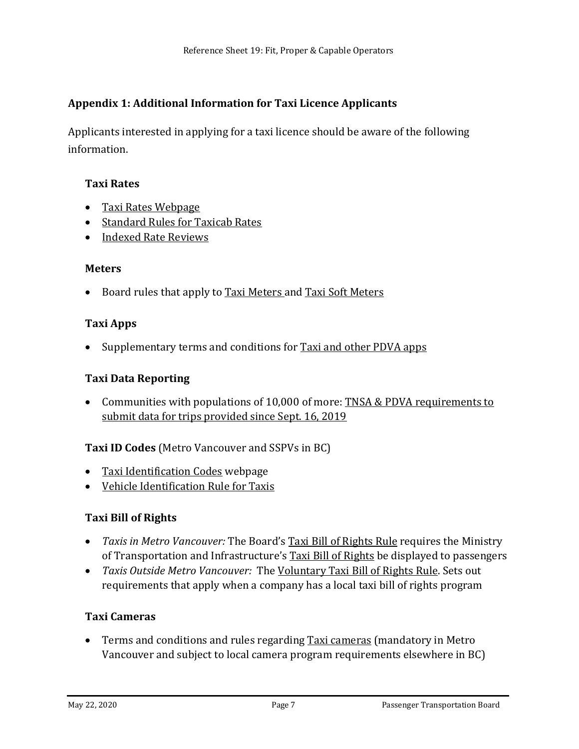# **Appendix 1: Additional Information for Taxi Licence Applicants**

Applicants interested in applying for a taxi licence should be aware of the following information.

#### **Taxi Rates**

- [Taxi Rates Webpage](https://www.ptboard.bc.ca/taxi-rates.htm)
- [Standard Rules for Taxicab Rates](https://www.ptboard.bc.ca/documents/rule_Standard_Rates.pdf)
- [Indexed Rate Reviews](https://www.ptboard.bc.ca/tlci.htm)

#### **Meters**

• Board rules that apply to [Taxi Meters a](https://www.ptboard.bc.ca/documents/rule_Standard_Rates.pdf)n[d Taxi Soft Meters](http://www.th.gov.bc.ca/ptb/documents/rule-taxi-soft-meter.pdf)

#### **Taxi Apps**

• Supplementary terms and conditions for [Taxi and other PDVA apps](https://www.ptboard.bc.ca/documents/t-and-c_pdva-apps.pdf)

#### **Taxi Data Reporting**

• Communities with populations of 10,000 of more: [TNSA & PDVA requirements to](https://www.ptboard.bc.ca/documents/Data_Requirements.pdf)  [submit data for trips provided since Sept. 16, 2019](https://www.ptboard.bc.ca/documents/Data_Requirements.pdf)

## **Taxi ID Codes** (Metro Vancouver and SSPVs in BC)

- [Taxi Identification Codes](https://www.ptboard.bc.ca/taxi_id.html) webpage
- [Vehicle Identification Rule for Taxis](https://www.ptboard.bc.ca/documents/TIC_rule.pdf)

#### **Taxi Bill of Rights**

- *Taxis in Metro Vancouver:* The Board's [Taxi Bill of Rights Rule](https://www.ptboard.bc.ca/documents/rule_taxirights_metro_vancouver_display.pdf) requires the Ministry of Transportation and Infrastructure's [Taxi Bill of Rights](https://www.taxirights.gov.bc.ca/) be displayed to passengers
- *Taxis Outside Metro Vancouver:* The [Voluntary Taxi Bill of Rights Rule.](https://www.ptboard.bc.ca/documents/RULE-voluntary-taxi-bill-of-rights.pdf) Sets out requirements that apply when a company has a local taxi bill of rights program

#### **Taxi Cameras**

• Terms and conditions and rules regarding [Taxi cameras](https://www.ptboard.bc.ca/cameras.htm) (mandatory in Metro Vancouver and subject to local camera program requirements elsewhere in BC)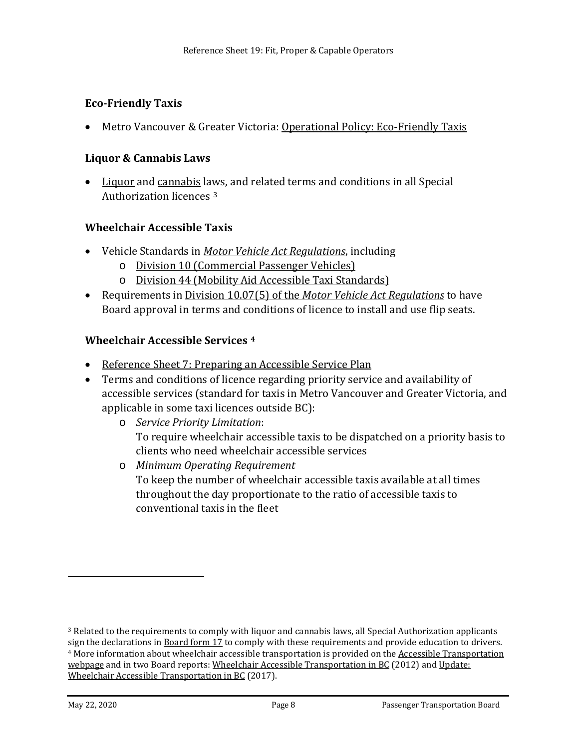## **Eco-Friendly Taxis**

• Metro Vancouver & Greater Victoria: [Operational Policy: Eco-Friendly Taxis](https://www.ptboard.bc.ca/operational_policies.htm#IV_2)

#### **Liquor & Cannabis Laws**

• [Liquor](http://www.bclaws.ca/civix/content/complete/statreg/76470131/1143088815/?xsl=/templates/browse.xsl) and [cannabis](http://www.bclaws.ca/civix/content/complete/statreg/781755088/377658333/?xsl=/templates/browse.xsl) laws, and related terms and conditions in all Special Authorization licences [3](#page-7-0)

#### **Wheelchair Accessible Taxis**

- Vehicle Standards in *[Motor Vehicle Act Regulations](http://www.bclaws.ca/civix/content/complete/statreg/1325524918/96318/reg96318/1252395447/?xsl=/templates/browse.xsl)*, including
	- o [Division 10 \(Commercial Passenger Vehicles\)](http://www.bclaws.ca/civix/document/id/complete/statreg/26_58_05)
	- o [Division 44 \(Mobility Aid Accessible Taxi Standards\)](http://www.bclaws.ca/civix/document/id/complete/statreg/26_58_15)
- Requirements in Division 10.07(5) of the *[Motor Vehicle Act Regulations](http://www.bclaws.ca/civix/document/id/complete/statreg/26_58_05)* to have Board approval in terms and conditions of licence to install and use flip seats.

#### **Wheelchair Accessible Services [4](#page-7-1)**

- [Reference Sheet 7: Preparing an Accessible Service Plan](http://www.th.gov.bc.ca/forms/getForm.aspx?formId=1199)
- Terms and conditions of licence regarding priority service and availability of accessible services (standard for taxis in Metro Vancouver and Greater Victoria, and applicable in some taxi licences outside BC):
	- o *Service Priority Limitation*: To require wheelchair accessible taxis to be dispatched on a priority basis to clients who need wheelchair accessible services
	- o *Minimum Operating Requirement* To keep the number of wheelchair accessible taxis available at all times throughout the day proportionate to the ratio of accessible taxis to conventional taxis in the fleet

<span id="page-7-1"></span><span id="page-7-0"></span><sup>3</sup> Related to the requirements to comply with liquor and cannabis laws, all Special Authorization applicants sign the declarations i[n Board form 17](http://www.th.gov.bc.ca/forms/getForm.aspx?formId=1376) to comply with these requirements and provide education to drivers. <sup>4</sup> More information about wheelchair accessible transportation is provided on th[e Accessible Transportation](https://www.ptboard.bc.ca/accessible_transportation.htm)  [webpage](https://www.ptboard.bc.ca/accessible_transportation.htm) and in two Board reports[: Wheelchair Accessible Transportation in BC](https://www.ptboard.bc.ca/documents/REPORT_2012_Accessible_Transportation_in_BC_HiRez.pdf) (2012) and Update: [Wheelchair Accessible Transportation in BC](https://www.ptboard.bc.ca/documents/REPORT_2017_Accessible_Transportation-hirez.pdf) (2017).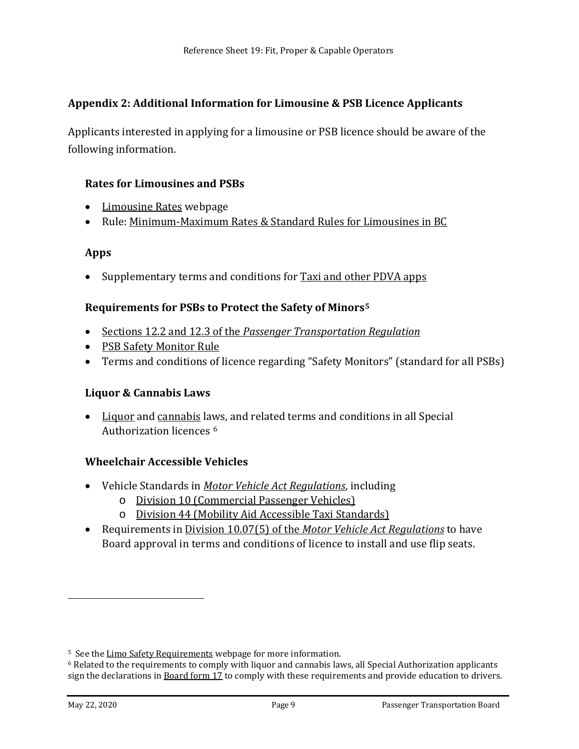## **Appendix 2: Additional Information for Limousine & PSB Licence Applicants**

Applicants interested in applying for a limousine or PSB licence should be aware of the following information.

#### **Rates for Limousines and PSBs**

- [Limousine Rates](https://www.ptboard.bc.ca/limousine-rates.htm) webpage
- Rule: [Minimum-Maximum Rates & Standard Rules for Limousines in BC](https://www.ptboard.bc.ca/documents/rule-limo-rates-and-rules-bc.pdf)

#### **Apps**

• Supplementary terms and conditions for [Taxi and other PDVA apps](https://www.ptboard.bc.ca/documents/t-and-c_pdva-apps.pdf)

## **Requirements for PSBs to Protect the Safety of Minors[5](#page-8-0)**

- Sections 12.2 and 12.3 of the *[Passenger Transportation Regulation](http://www.bclaws.ca/EPLibraries/bclaws_new/document/ID/freeside/266_2004#section12.2)*
- [PSB Safety Monitor Rule](https://www.ptboard.bc.ca/documents/rule_psb-safety-monitor.pdf)
- Terms and conditions of licence regarding "Safety Monitors" (standard for all PSBs)

#### **Liquor & Cannabis Laws**

• [Liquor](http://www.bclaws.ca/civix/content/complete/statreg/76470131/1143088815/?xsl=/templates/browse.xsl) and [cannabis](http://www.bclaws.ca/civix/content/complete/statreg/781755088/377658333/?xsl=/templates/browse.xsl) laws, and related terms and conditions in all Special Authorization licences [6](#page-8-1)

#### **Wheelchair Accessible Vehicles**

- Vehicle Standards in *[Motor Vehicle Act Regulations](http://www.bclaws.ca/civix/content/complete/statreg/1325524918/96318/reg96318/1252395447/?xsl=/templates/browse.xsl)*, including
	- o [Division 10 \(Commercial Passenger Vehicles\)](http://www.bclaws.ca/civix/document/id/complete/statreg/26_58_05)
	- o [Division 44 \(Mobility Aid Accessible Taxi Standards\)](http://www.bclaws.ca/civix/document/id/complete/statreg/26_58_15)
- Requirements in Division 10.07(5) of the *[Motor Vehicle Act Regulations](http://www.bclaws.ca/civix/document/id/complete/statreg/26_58_05)* to have Board approval in terms and conditions of licence to install and use flip seats.

<span id="page-8-1"></span><span id="page-8-0"></span><sup>&</sup>lt;sup>5</sup> See the [Limo Safety Requirements](https://www.ptboard.bc.ca/limo-safety.htm) webpage for more information.<br><sup>6</sup> Related to the requirements to comply with liquor and cannabis laws, all Special Authorization applicants sign the declarations in **Board form 17** to comply with these requirements and provide education to drivers.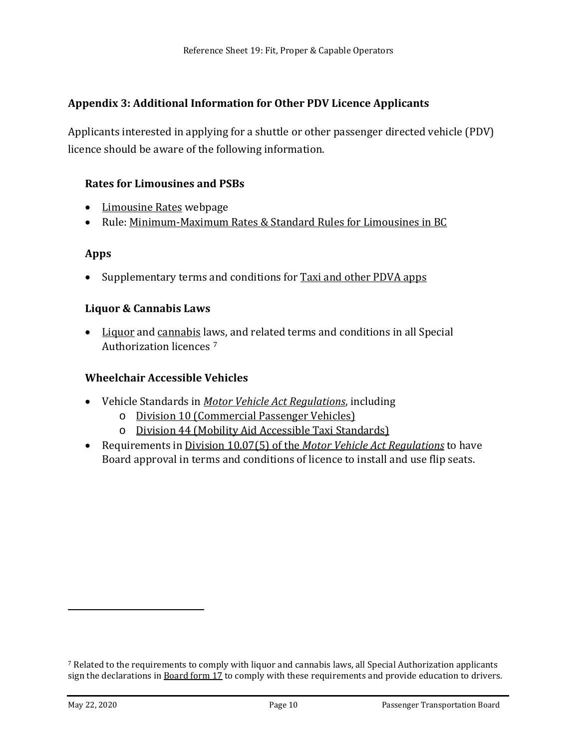## **Appendix 3: Additional Information for Other PDV Licence Applicants**

Applicants interested in applying for a shuttle or other passenger directed vehicle (PDV) licence should be aware of the following information.

#### **Rates for Limousines and PSBs**

- [Limousine Rates](https://www.ptboard.bc.ca/limousine-rates.htm) webpage
- Rule: [Minimum-Maximum Rates & Standard Rules for Limousines in BC](https://www.ptboard.bc.ca/documents/rule-limo-rates-and-rules-bc.pdf)

#### **Apps**

• Supplementary terms and conditions for [Taxi and other PDVA apps](https://www.ptboard.bc.ca/documents/t-and-c_pdva-apps.pdf)

#### **Liquor & Cannabis Laws**

• [Liquor](http://www.bclaws.ca/civix/content/complete/statreg/76470131/1143088815/?xsl=/templates/browse.xsl) and [cannabis](http://www.bclaws.ca/civix/content/complete/statreg/781755088/377658333/?xsl=/templates/browse.xsl) laws, and related terms and conditions in all Special Authorization licences [7](#page-9-0)

#### **Wheelchair Accessible Vehicles**

- Vehicle Standards in *[Motor Vehicle Act Regulations](http://www.bclaws.ca/civix/content/complete/statreg/1325524918/96318/reg96318/1252395447/?xsl=/templates/browse.xsl)*, including
	- o [Division 10 \(Commercial Passenger Vehicles\)](http://www.bclaws.ca/civix/document/id/complete/statreg/26_58_05)
	- o [Division 44 \(Mobility Aid Accessible Taxi Standards\)](http://www.bclaws.ca/civix/document/id/complete/statreg/26_58_15)
- Requirements in Division 10.07(5) of the *[Motor Vehicle Act Regulations](http://www.bclaws.ca/civix/document/id/complete/statreg/26_58_05)* to have Board approval in terms and conditions of licence to install and use flip seats.

<span id="page-9-0"></span><sup>7</sup> Related to the requirements to comply with liquor and cannabis laws, all Special Authorization applicants sign the declarations in **Board form 17** to comply with these requirements and provide education to drivers.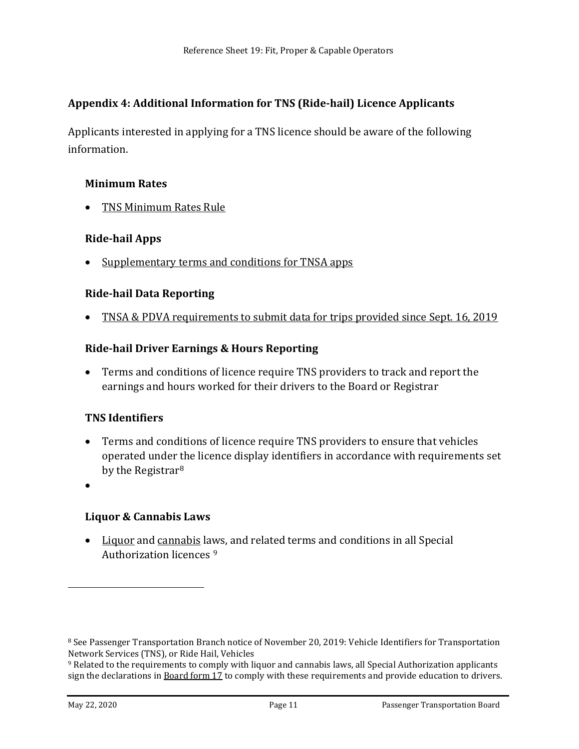# **Appendix 4: Additional Information for TNS (Ride-hail) Licence Applicants**

Applicants interested in applying for a TNS licence should be aware of the following information.

#### **Minimum Rates**

• [TNS Minimum Rates Rule](https://www.ptboard.bc.ca/documents/rule_tns-minimum-rates.pdf)

#### **Ride-hail Apps**

• [Supplementary terms and conditions for TNSA apps](https://www.ptboard.bc.ca/documents/TNSA-Apps-T&Cs.pdf)

#### **Ride-hail Data Reporting**

• TNSA & PDVA requirements [to submit data for trips provided since Sept.](https://www.ptboard.bc.ca/documents/Data_Requirements.pdf) 16, 2019

#### **Ride-hail Driver Earnings & Hours Reporting**

• Terms and conditions of licence require TNS providers to track and report the earnings and hours worked for their drivers to the Board or Registrar

## **TNS Identifiers**

- Terms and conditions of licence require TNS providers to ensure that vehicles operated under the licence display identifiers in accordance with requirements set by the Registrar<sup>[8](#page-10-0)</sup>
- •

i<br>I

## **Liquor & Cannabis Laws**

• [Liquor](http://www.bclaws.ca/civix/content/complete/statreg/76470131/1143088815/?xsl=/templates/browse.xsl) and [cannabis](http://www.bclaws.ca/civix/content/complete/statreg/781755088/377658333/?xsl=/templates/browse.xsl) laws, and related terms and conditions in all Special Authorization licences [9](#page-10-1)

<span id="page-10-0"></span><sup>8</sup> See Passenger Transportation Branch notice of November 20, 2019: Vehicle Identifiers for Transportation Network Services (TNS), or Ride Hail, Vehicles

<span id="page-10-1"></span><sup>9</sup> Related to the requirements to comply with liquor and cannabis laws, all Special Authorization applicants sign the declarations i[n Board form 17](http://www.th.gov.bc.ca/forms/getForm.aspx?formId=1376) to comply with these requirements and provide education to drivers.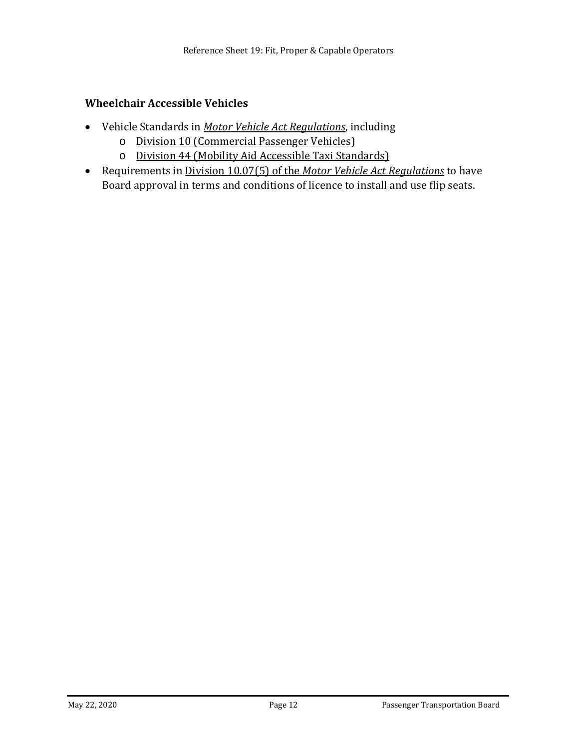#### **Wheelchair Accessible Vehicles**

- Vehicle Standards in *[Motor Vehicle Act Regulations](http://www.bclaws.ca/civix/content/complete/statreg/1325524918/96318/reg96318/1252395447/?xsl=/templates/browse.xsl)*, including
	- o [Division 10 \(Commercial Passenger Vehicles\)](http://www.bclaws.ca/civix/document/id/complete/statreg/26_58_05)
	- o [Division 44 \(Mobility Aid Accessible Taxi Standards\)](http://www.bclaws.ca/civix/document/id/complete/statreg/26_58_15)
- Requirements in Division 10.07(5) of the *[Motor Vehicle Act Regulations](http://www.bclaws.ca/civix/document/id/complete/statreg/26_58_05)* to have Board approval in terms and conditions of licence to install and use flip seats.